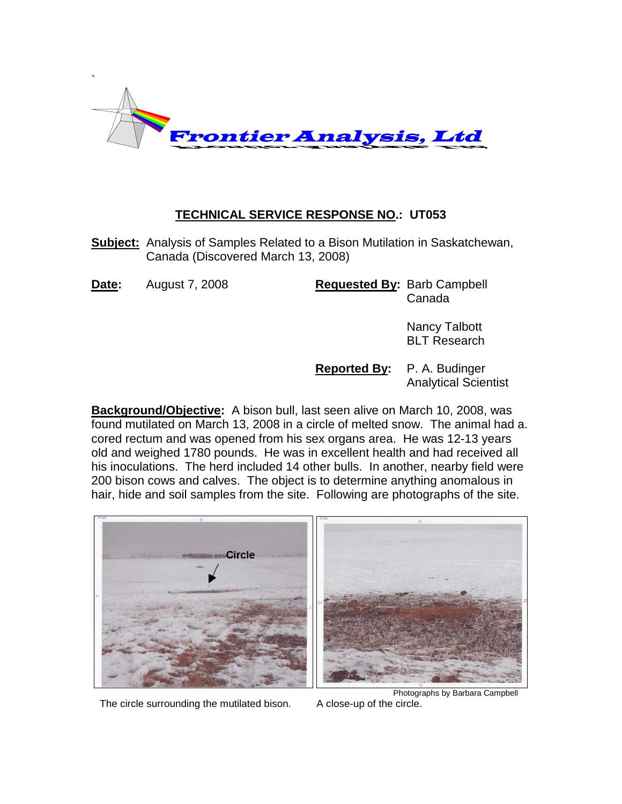

## **TECHNICAL SERVICE RESPONSE NO.: UT053**

**Subject:** Analysis of Samples Related to a Bison Mutilation in Saskatchewan, Canada (Discovered March 13, 2008)

**Date:** August 7, 2008 **Requested By:** Barb Campbell Canada

> Nancy Talbott BLT Research

**Reported By:** P. A. Budinger Analytical Scientist

**Background/Objective:** A bison bull, last seen alive on March 10, 2008, was found mutilated on March 13, 2008 in a circle of melted snow. The animal had a. cored rectum and was opened from his sex organs area. He was 12-13 years old and weighed 1780 pounds. He was in excellent health and had received all his inoculations. The herd included 14 other bulls. In another, nearby field were 200 bison cows and calves. The object is to determine anything anomalous in hair, hide and soil samples from the site. Following are photographs of the site.



The circle surrounding the mutilated bison.

Photographs by Barbara Campbell<br>A close-up of the circle.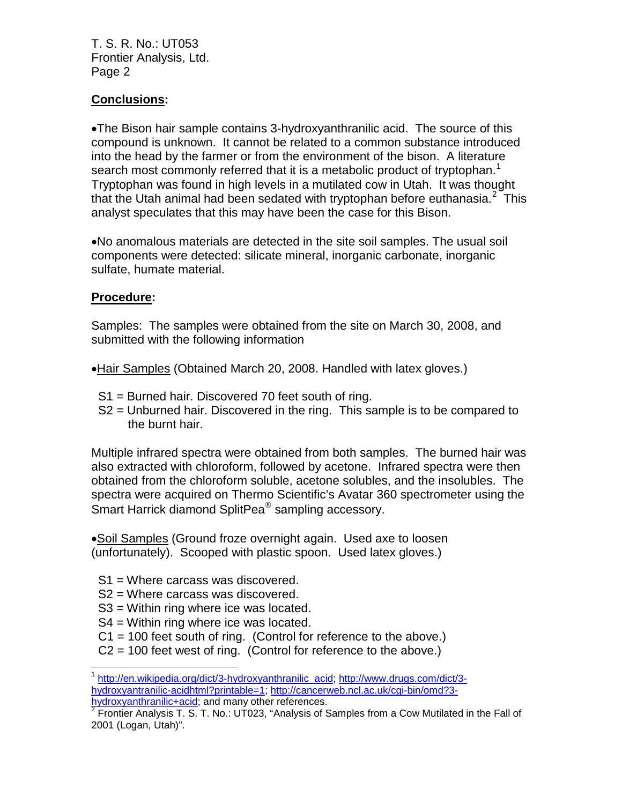## **Conclusions:**

•The Bison hair sample contains 3-hydroxyanthranilic acid. The source of this compound is unknown. It cannot be related to a common substance introduced into the head by the farmer or from the environment of the bison. A literature search most commonly referred that it is a metabolic product of tryptophan.<sup>[1](#page-1-0)</sup> Tryptophan was found in high levels in a mutilated cow in Utah. It was thought that the Utah animal had been sedated with tryptophan before euthanasia.<sup>[2](#page-1-1)</sup> This analyst speculates that this may have been the case for this Bison.

•No anomalous materials are detected in the site soil samples. The usual soil components were detected: silicate mineral, inorganic carbonate, inorganic sulfate, humate material.

## **Procedure:**

Samples: The samples were obtained from the site on March 30, 2008, and submitted with the following information

•Hair Samples (Obtained March 20, 2008. Handled with latex gloves.)

- S1 = Burned hair. Discovered 70 feet south of ring.
- S2 = Unburned hair. Discovered in the ring. This sample is to be compared to the burnt hair.

Multiple infrared spectra were obtained from both samples. The burned hair was also extracted with chloroform, followed by acetone. Infrared spectra were then obtained from the chloroform soluble, acetone solubles, and the insolubles. The spectra were acquired on Thermo Scientific's Avatar 360 spectrometer using the Smart Harrick diamond SplitPea<sup>®</sup> sampling accessory.

•Soil Samples (Ground froze overnight again. Used axe to loosen (unfortunately). Scooped with plastic spoon. Used latex gloves.)

- S1 = Where carcass was discovered.
- S2 = Where carcass was discovered.
- S3 = Within ring where ice was located.
- S4 = Within ring where ice was located.
- C1 = 100 feet south of ring. (Control for reference to the above.)
- C2 = 100 feet west of ring. (Control for reference to the above.)

<span id="page-1-0"></span><sup>1</sup> [http://en.wikipedia.org/dict/3-hydroxyanthranilic\\_acid;](http://en.wikipedia.org/dict/3-hydroxyanthranilic_acid) [http://www.drugs.com/dict/3](http://www.drugs.com/dict/3-hydroxyantranilic-acidhtml?printable=1) [hydroxyantranilic-acidhtml?printable=1;](http://www.drugs.com/dict/3-hydroxyantranilic-acidhtml?printable=1) [http://cancerweb.ncl.ac.uk/cgi-bin/omd?3-](http://cancerweb.ncl.ac.uk/cgi-bin/omd?3-hydroxyanthranilic+acid)<br>hydroxyanthranilic+acid; and many other references.  $\overline{\phantom{a}}$ 

<span id="page-1-1"></span>hydroxyanthranic many other with many of Preferences. <sup>2</sup> Frontier Analysis T. S. T. No.: UT023, "Analysis of Samples from a Cow Mutilated in the Fall of 2001 (Logan, Utah)".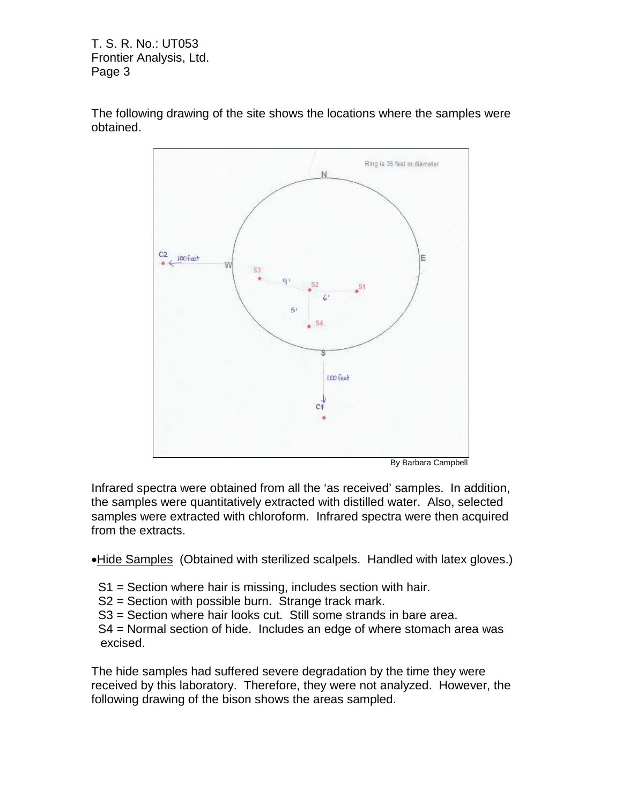



Infrared spectra were obtained from all the 'as received' samples. In addition, the samples were quantitatively extracted with distilled water. Also, selected samples were extracted with chloroform. Infrared spectra were then acquired from the extracts.

•Hide Samples (Obtained with sterilized scalpels. Handled with latex gloves.)

- S1 = Section where hair is missing, includes section with hair.
- S2 = Section with possible burn. Strange track mark.
- S3 = Section where hair looks cut. Still some strands in bare area.
- S4 = Normal section of hide. Includes an edge of where stomach area was excised.

The hide samples had suffered severe degradation by the time they were received by this laboratory. Therefore, they were not analyzed. However, the following drawing of the bison shows the areas sampled.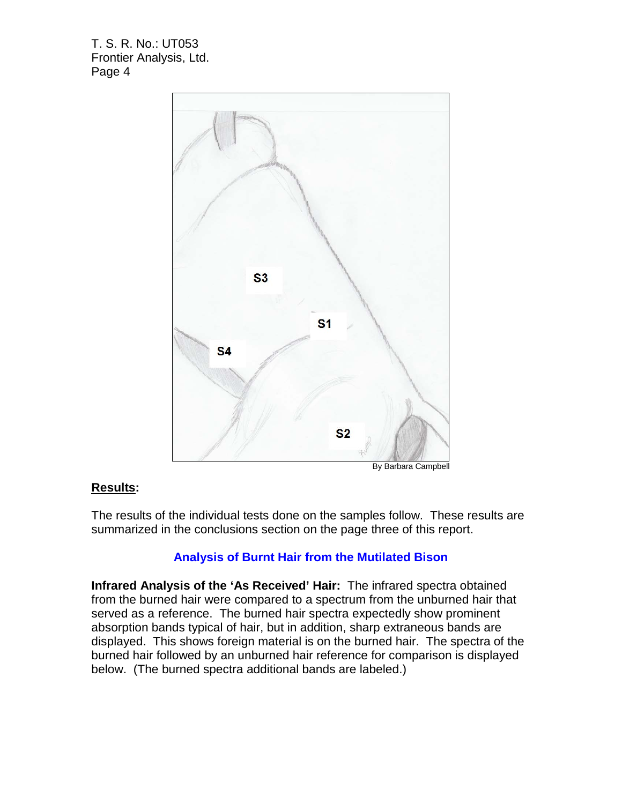

#### By Barbara Campbell

### **Results:**

The results of the individual tests done on the samples follow. These results are summarized in the conclusions section on the page three of this report.

### **Analysis of Burnt Hair from the Mutilated Bison**

**Infrared Analysis of the 'As Received' Hair:** The infrared spectra obtained from the burned hair were compared to a spectrum from the unburned hair that served as a reference. The burned hair spectra expectedly show prominent absorption bands typical of hair, but in addition, sharp extraneous bands are displayed. This shows foreign material is on the burned hair. The spectra of the burned hair followed by an unburned hair reference for comparison is displayed below. (The burned spectra additional bands are labeled.)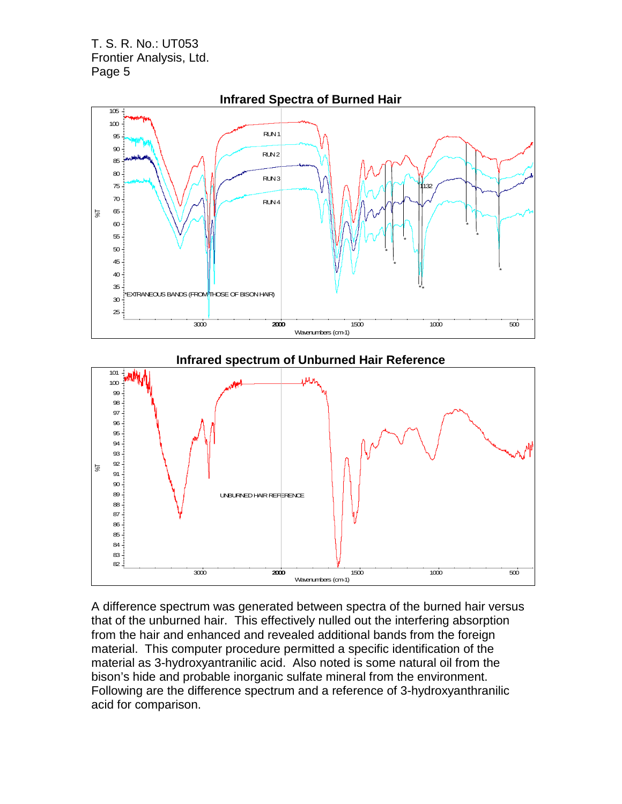



A difference spectrum was generated between spectra of the burned hair versus that of the unburned hair. This effectively nulled out the interfering absorption from the hair and enhanced and revealed additional bands from the foreign material. This computer procedure permitted a specific identification of the material as 3-hydroxyantranilic acid. Also noted is some natural oil from the bison's hide and probable inorganic sulfate mineral from the environment. Following are the difference spectrum and a reference of 3-hydroxyanthranilic acid for comparison.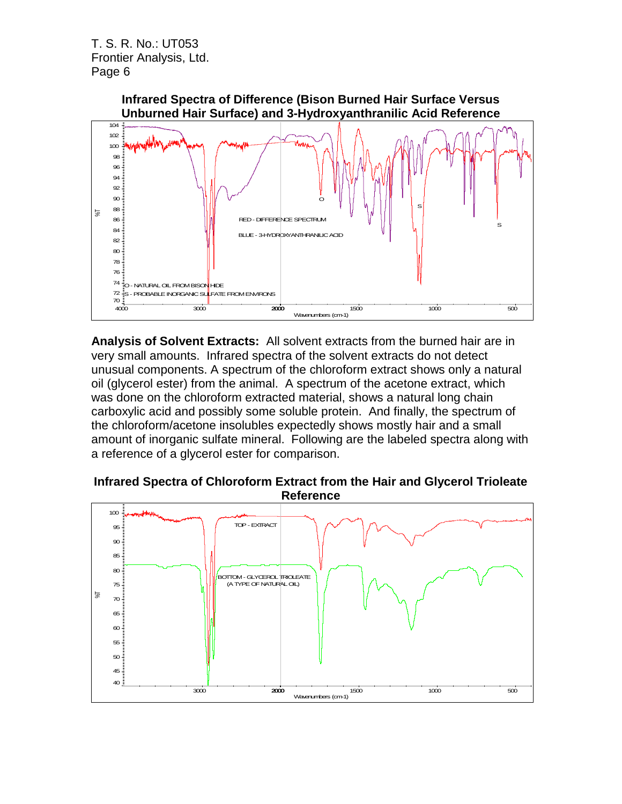

**Analysis of Solvent Extracts:** All solvent extracts from the burned hair are in very small amounts. Infrared spectra of the solvent extracts do not detect unusual components. A spectrum of the chloroform extract shows only a natural oil (glycerol ester) from the animal. A spectrum of the acetone extract, which was done on the chloroform extracted material, shows a natural long chain carboxylic acid and possibly some soluble protein. And finally, the spectrum of the chloroform/acetone insolubles expectedly shows mostly hair and a small amount of inorganic sulfate mineral. Following are the labeled spectra along with a reference of a glycerol ester for comparison.

## **Infrared Spectra of Chloroform Extract from the Hair and Glycerol Trioleate Reference**

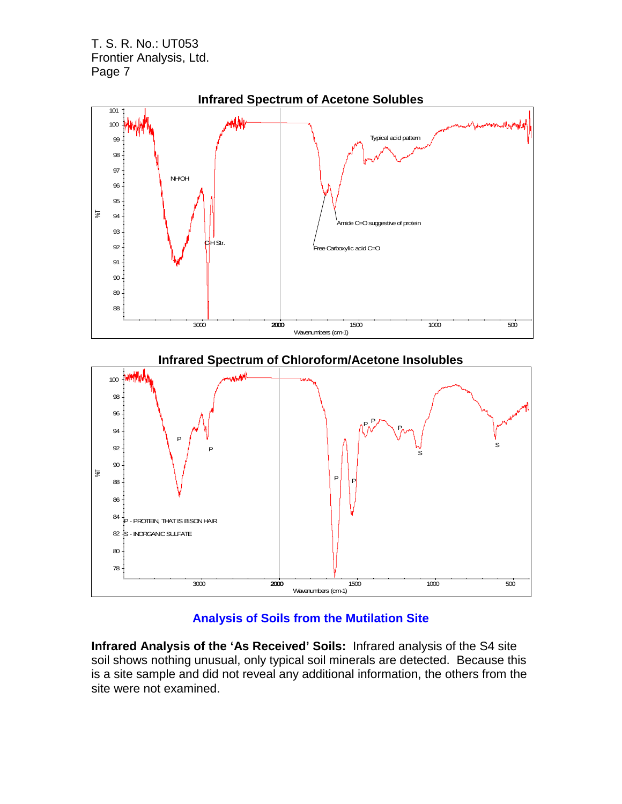

# **Analysis of Soils from the Mutilation Site**

**Infrared Analysis of the 'As Received' Soils:** Infrared analysis of the S4 site soil shows nothing unusual, only typical soil minerals are detected. Because this is a site sample and did not reveal any additional information, the others from the site were not examined.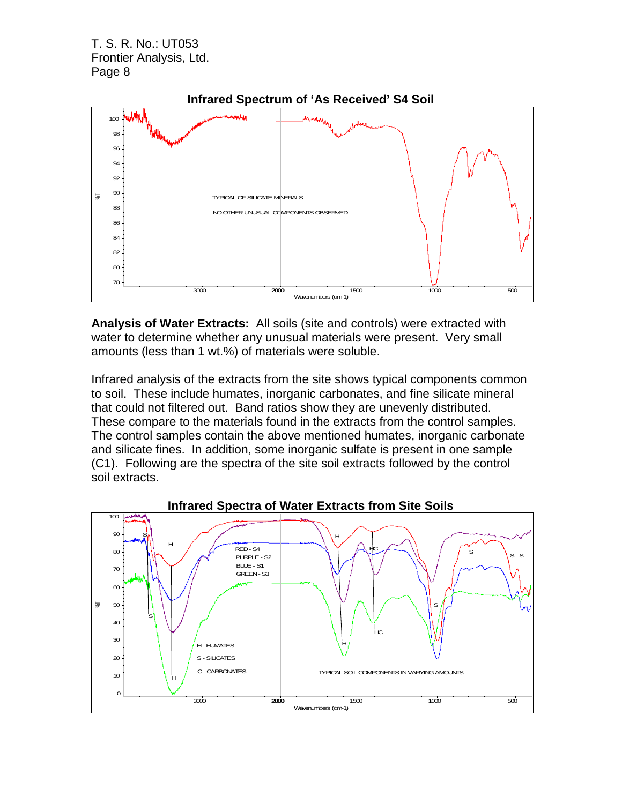

**Analysis of Water Extracts:** All soils (site and controls) were extracted with water to determine whether any unusual materials were present. Very small amounts (less than 1 wt.%) of materials were soluble.

Infrared analysis of the extracts from the site shows typical components common to soil. These include humates, inorganic carbonates, and fine silicate mineral that could not filtered out. Band ratios show they are unevenly distributed. These compare to the materials found in the extracts from the control samples. The control samples contain the above mentioned humates, inorganic carbonate and silicate fines. In addition, some inorganic sulfate is present in one sample (C1). Following are the spectra of the site soil extracts followed by the control soil extracts.

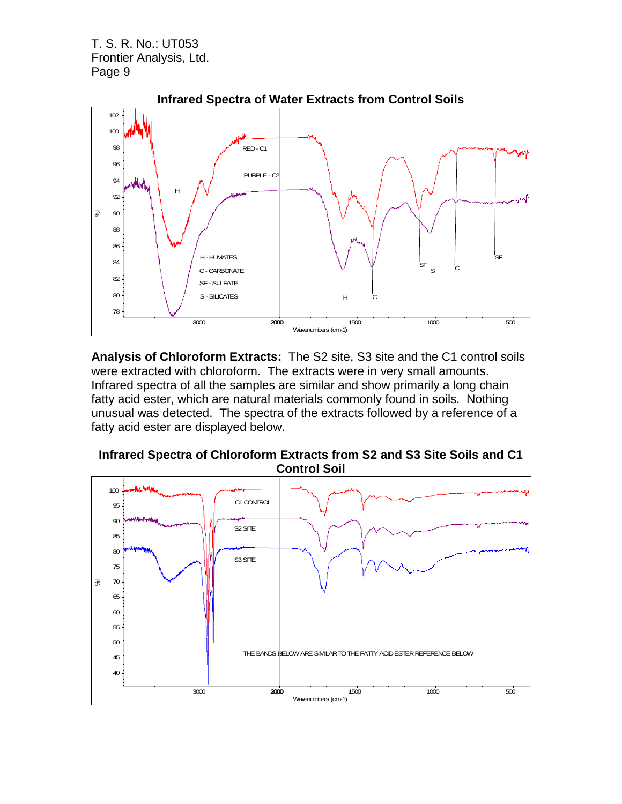

**Analysis of Chloroform Extracts:** The S2 site, S3 site and the C1 control soils were extracted with chloroform. The extracts were in very small amounts. Infrared spectra of all the samples are similar and show primarily a long chain fatty acid ester, which are natural materials commonly found in soils. Nothing unusual was detected. The spectra of the extracts followed by a reference of a fatty acid ester are displayed below.